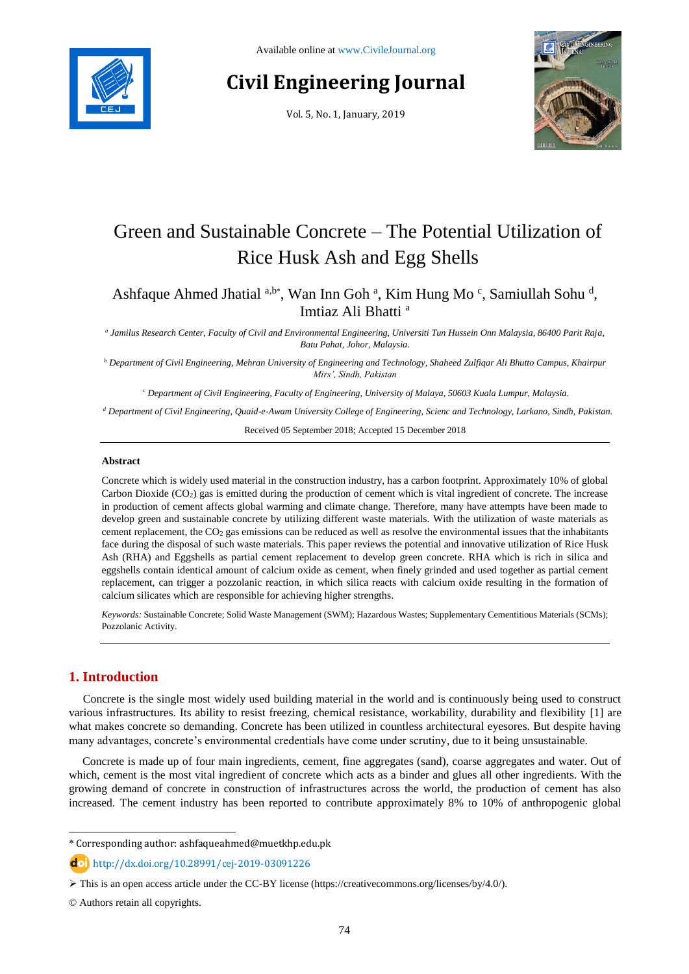

# **Civil Engineering Journal**

Vol. 5, No. 1, January, 2019



# Green and Sustainable Concrete – The Potential Utilization of Rice Husk Ash and Egg Shells

Ashfaque Ahmed Jhatial <sup>a,b\*</sup>, Wan Inn Goh <sup>a</sup>, Kim Hung Mo <sup>c</sup>, Samiullah Sohu <sup>d</sup>, Imtiaz Ali Bhatti <sup>a</sup>

*a Jamilus Research Center, Faculty of Civil and Environmental Engineering, Universiti Tun Hussein Onn Malaysia, 86400 Parit Raja, Batu Pahat, Johor, Malaysia.*

*<sup>b</sup> Department of Civil Engineering, Mehran University of Engineering and Technology, Shaheed Zulfiqar Ali Bhutto Campus, Khairpur Mirs', Sindh, Pakistan*

*<sup>c</sup> Department of Civil Engineering, Faculty of Engineering, University of Malaya, 50603 Kuala Lumpur, Malaysia.*

*<sup>d</sup> Department of Civil Engineering, Quaid-e-Awam University College of Engineering, Scienc and Technology, Larkano, Sindh, Pakistan.*

Received 05 September 2018; Accepted 15 December 2018

## **Abstract**

Concrete which is widely used material in the construction industry, has a carbon footprint. Approximately 10% of global Carbon Dioxide  $(CO<sub>2</sub>)$  gas is emitted during the production of cement which is vital ingredient of concrete. The increase in production of cement affects global warming and climate change. Therefore, many have attempts have been made to develop green and sustainable concrete by utilizing different waste materials. With the utilization of waste materials as cement replacement, the CO<sup>2</sup> gas emissions can be reduced as well as resolve the environmental issues that the inhabitants face during the disposal of such waste materials. This paper reviews the potential and innovative utilization of Rice Husk Ash (RHA) and Eggshells as partial cement replacement to develop green concrete. RHA which is rich in silica and eggshells contain identical amount of calcium oxide as cement, when finely grinded and used together as partial cement replacement, can trigger a pozzolanic reaction, in which silica reacts with calcium oxide resulting in the formation of calcium silicates which are responsible for achieving higher strengths.

*Keywords:* Sustainable Concrete; Solid Waste Management (SWM); Hazardous Wastes; Supplementary Cementitious Materials (SCMs); Pozzolanic Activity.

# **1. Introduction**

l

Concrete is the single most widely used building material in the world and is continuously being used to construct various infrastructures. Its ability to resist freezing, chemical resistance, workability, durability and flexibility [1] are what makes concrete so demanding. Concrete has been utilized in countless architectural eyesores. But despite having many advantages, concrete's environmental credentials have come under scrutiny, due to it being unsustainable.

Concrete is made up of four main ingredients, cement, fine aggregates (sand), coarse aggregates and water. Out of which, cement is the most vital ingredient of concrete which acts as a binder and glues all other ingredients. With the growing demand of concrete in construction of infrastructures across the world, the production of cement has also increased. The cement industry has been reported to contribute approximately 8% to 10% of anthropogenic global

<sup>\*</sup> Corresponding author: ashfaqueahmed@muetkhp.edu.pk

http://dx.doi.org/10.28991/cej-2019-03091226

This is an open access article under the CC-BY license [\(https://creativecommons.org/licenses/by/4.0/\)](https://creativecommons.org/licenses/by/4.0/).

<sup>©</sup> Authors retain all copyrights.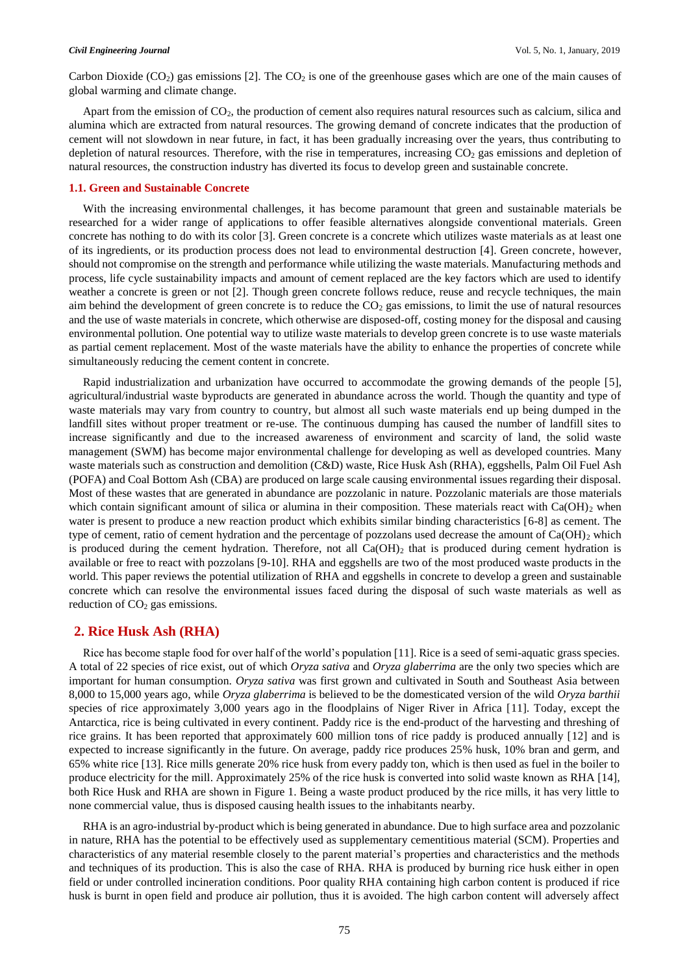Carbon Dioxide  $(CO_2)$  gas emissions [2]. The  $CO_2$  is one of the greenhouse gases which are one of the main causes of global warming and climate change.

Apart from the emission of CO2, the production of cement also requires natural resources such as calcium, silica and alumina which are extracted from natural resources. The growing demand of concrete indicates that the production of cement will not slowdown in near future, in fact, it has been gradually increasing over the years, thus contributing to depletion of natural resources. Therefore, with the rise in temperatures, increasing  $CO<sub>2</sub>$  gas emissions and depletion of natural resources, the construction industry has diverted its focus to develop green and sustainable concrete.

### **1.1. Green and Sustainable Concrete**

With the increasing environmental challenges, it has become paramount that green and sustainable materials be researched for a wider range of applications to offer feasible alternatives alongside conventional materials. Green concrete has nothing to do with its color [3]. Green concrete is a concrete which utilizes waste materials as at least one of its ingredients, or its production process does not lead to environmental destruction [4]. Green concrete, however, should not compromise on the strength and performance while utilizing the waste materials. Manufacturing methods and process, life cycle sustainability impacts and amount of cement replaced are the key factors which are used to identify weather a concrete is green or not [2]. Though green concrete follows reduce, reuse and recycle techniques, the main aim behind the development of green concrete is to reduce the  $CO<sub>2</sub>$  gas emissions, to limit the use of natural resources and the use of waste materials in concrete, which otherwise are disposed-off, costing money for the disposal and causing environmental pollution. One potential way to utilize waste materials to develop green concrete is to use waste materials as partial cement replacement. Most of the waste materials have the ability to enhance the properties of concrete while simultaneously reducing the cement content in concrete.

Rapid industrialization and urbanization have occurred to accommodate the growing demands of the people [5], agricultural/industrial waste byproducts are generated in abundance across the world. Though the quantity and type of waste materials may vary from country to country, but almost all such waste materials end up being dumped in the landfill sites without proper treatment or re-use. The continuous dumping has caused the number of landfill sites to increase significantly and due to the increased awareness of environment and scarcity of land, the solid waste management (SWM) has become major environmental challenge for developing as well as developed countries. Many waste materials such as construction and demolition (C&D) waste, Rice Husk Ash (RHA), eggshells, Palm Oil Fuel Ash (POFA) and Coal Bottom Ash (CBA) are produced on large scale causing environmental issues regarding their disposal. Most of these wastes that are generated in abundance are pozzolanic in nature. Pozzolanic materials are those materials which contain significant amount of silica or alumina in their composition. These materials react with  $Ca(OH)_2$  when water is present to produce a new reaction product which exhibits similar binding characteristics [6-8] as cement. The type of cement, ratio of cement hydration and the percentage of pozzolans used decrease the amount of  $Ca(OH)_2$  which is produced during the cement hydration. Therefore, not all  $Ca(OH)_2$  that is produced during cement hydration is available or free to react with pozzolans [9-10]. RHA and eggshells are two of the most produced waste products in the world. This paper reviews the potential utilization of RHA and eggshells in concrete to develop a green and sustainable concrete which can resolve the environmental issues faced during the disposal of such waste materials as well as reduction of  $CO<sub>2</sub>$  gas emissions.

# **2. Rice Husk Ash (RHA)**

Rice has become staple food for over half of the world's population [11]. Rice is a seed of semi-aquatic grass species. A total of 22 species of rice exist, out of which *Oryza sativa* and *Oryza glaberrima* are the only two species which are important for human consumption. *Oryza sativa* was first grown and cultivated in South and Southeast Asia between 8,000 to 15,000 years ago, while *Oryza glaberrima* is believed to be the domesticated version of the wild *Oryza barthii* species of rice approximately 3,000 years ago in the floodplains of Niger River in Africa [11]. Today, except the Antarctica, rice is being cultivated in every continent. Paddy rice is the end-product of the harvesting and threshing of rice grains. It has been reported that approximately 600 million tons of rice paddy is produced annually [12] and is expected to increase significantly in the future. On average, paddy rice produces 25% husk, 10% bran and germ, and 65% white rice [13]. Rice mills generate 20% rice husk from every paddy ton, which is then used as fuel in the boiler to produce electricity for the mill. Approximately 25% of the rice husk is converted into solid waste known as RHA [14], both Rice Husk and RHA are shown in Figure 1. Being a waste product produced by the rice mills, it has very little to none commercial value, thus is disposed causing health issues to the inhabitants nearby.

RHA is an agro-industrial by-product which is being generated in abundance. Due to high surface area and pozzolanic in nature, RHA has the potential to be effectively used as supplementary cementitious material (SCM). Properties and characteristics of any material resemble closely to the parent material's properties and characteristics and the methods and techniques of its production. This is also the case of RHA. RHA is produced by burning rice husk either in open field or under controlled incineration conditions. Poor quality RHA containing high carbon content is produced if rice husk is burnt in open field and produce air pollution, thus it is avoided. The high carbon content will adversely affect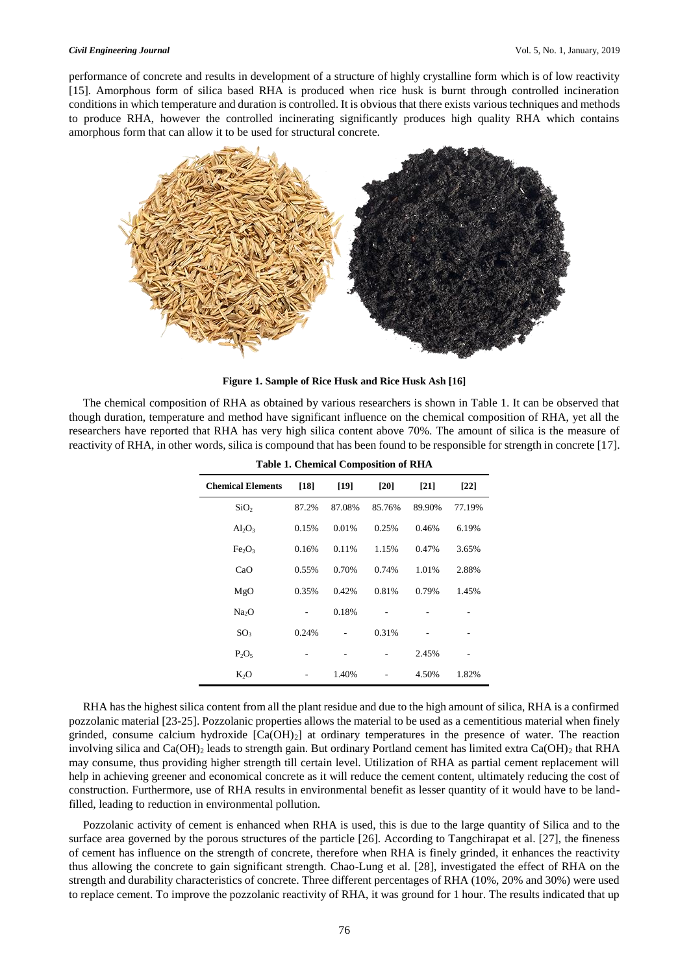performance of concrete and results in development of a structure of highly crystalline form which is of low reactivity [15]. Amorphous form of silica based RHA is produced when rice husk is burnt through controlled incineration conditions in which temperature and duration is controlled. It is obvious that there exists various techniques and methods to produce RHA, however the controlled incinerating significantly produces high quality RHA which contains amorphous form that can allow it to be used for structural concrete.



**Figure 1. Sample of Rice Husk and Rice Husk Ash [16]**

The chemical composition of RHA as obtained by various researchers is shown in Table 1. It can be observed that though duration, temperature and method have significant influence on the chemical composition of RHA, yet all the researchers have reported that RHA has very high silica content above 70%. The amount of silica is the measure of reactivity of RHA, in other words, silica is compound that has been found to be responsible for strength in concrete [17].

| <b>Table 1. Chemical Composition of RHA</b> |       |        |        |        |        |  |  |  |
|---------------------------------------------|-------|--------|--------|--------|--------|--|--|--|
| <b>Chemical Elements</b>                    | [18]  | $[19]$ | [20]   | $[21]$ | [22]   |  |  |  |
| SiO <sub>2</sub>                            | 87.2% | 87.08% | 85.76% | 89.90% | 77.19% |  |  |  |
| $Al_2O_3$                                   | 0.15% | 0.01%  | 0.25%  | 0.46%  | 6.19%  |  |  |  |
| Fe <sub>2</sub> O <sub>3</sub>              | 0.16% | 0.11%  | 1.15%  | 0.47%  | 3.65%  |  |  |  |
| CaO                                         | 0.55% | 0.70%  | 0.74%  | 1.01%  | 2.88%  |  |  |  |
| MgO                                         | 0.35% | 0.42%  | 0.81%  | 0.79%  | 1.45%  |  |  |  |
| Na <sub>2</sub> O                           |       | 0.18%  |        |        |        |  |  |  |
| SO <sub>3</sub>                             | 0.24% |        | 0.31%  |        |        |  |  |  |
| $P_2O_5$                                    |       |        |        | 2.45%  |        |  |  |  |
| $K_2O$                                      |       |        |        | 4.50%  | 1.82%  |  |  |  |

RHA has the highest silica content from all the plant residue and due to the high amount of silica, RHA is a confirmed pozzolanic material [23-25]. Pozzolanic properties allows the material to be used as a cementitious material when finely grinded, consume calcium hydroxide [Ca(OH)2] at ordinary temperatures in the presence of water. The reaction involving silica and Ca(OH)<sub>2</sub> leads to strength gain. But ordinary Portland cement has limited extra Ca(OH)<sub>2</sub> that RHA may consume, thus providing higher strength till certain level. Utilization of RHA as partial cement replacement will help in achieving greener and economical concrete as it will reduce the cement content, ultimately reducing the cost of construction. Furthermore, use of RHA results in environmental benefit as lesser quantity of it would have to be landfilled, leading to reduction in environmental pollution.

Pozzolanic activity of cement is enhanced when RHA is used, this is due to the large quantity of Silica and to the surface area governed by the porous structures of the particle [26]. According to Tangchirapat et al. [27], the fineness of cement has influence on the strength of concrete, therefore when RHA is finely grinded, it enhances the reactivity thus allowing the concrete to gain significant strength. Chao-Lung et al. [28], investigated the effect of RHA on the strength and durability characteristics of concrete. Three different percentages of RHA (10%, 20% and 30%) were used to replace cement. To improve the pozzolanic reactivity of RHA, it was ground for 1 hour. The results indicated that up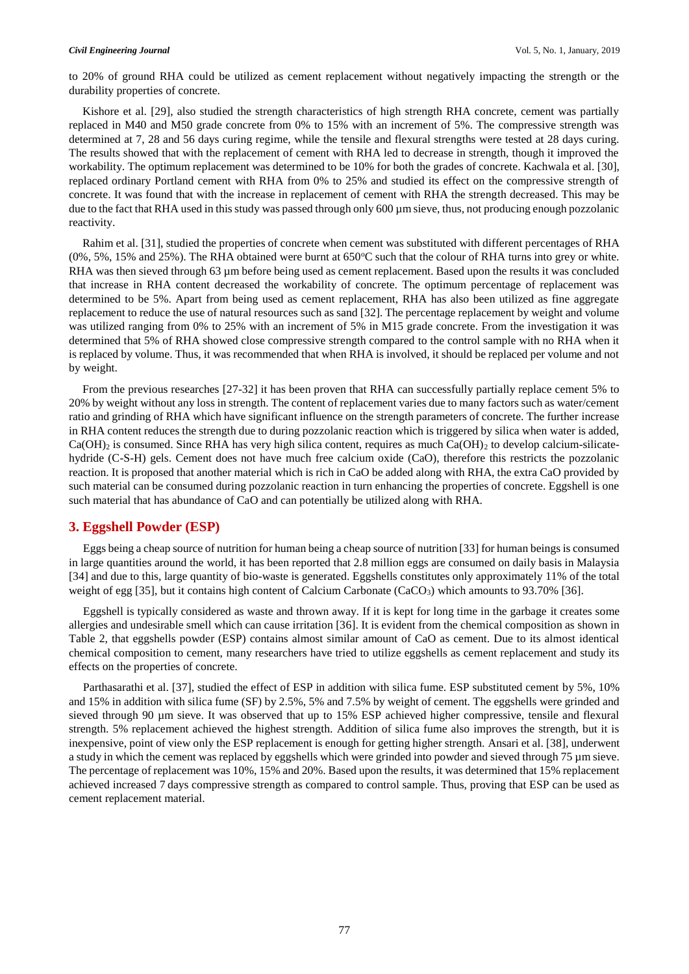to 20% of ground RHA could be utilized as cement replacement without negatively impacting the strength or the durability properties of concrete.

Kishore et al. [29], also studied the strength characteristics of high strength RHA concrete, cement was partially replaced in M40 and M50 grade concrete from 0% to 15% with an increment of 5%. The compressive strength was determined at 7, 28 and 56 days curing regime, while the tensile and flexural strengths were tested at 28 days curing. The results showed that with the replacement of cement with RHA led to decrease in strength, though it improved the workability. The optimum replacement was determined to be 10% for both the grades of concrete. Kachwala et al. [30], replaced ordinary Portland cement with RHA from 0% to 25% and studied its effect on the compressive strength of concrete. It was found that with the increase in replacement of cement with RHA the strength decreased. This may be due to the fact that RHA used in this study was passed through only 600 µm sieve, thus, not producing enough pozzolanic reactivity.

Rahim et al. [31], studied the properties of concrete when cement was substituted with different percentages of RHA  $(0\%, 5\%, 15\%$  and 25%). The RHA obtained were burnt at 650°C such that the colour of RHA turns into grey or white. RHA was then sieved through 63 µm before being used as cement replacement. Based upon the results it was concluded that increase in RHA content decreased the workability of concrete. The optimum percentage of replacement was determined to be 5%. Apart from being used as cement replacement, RHA has also been utilized as fine aggregate replacement to reduce the use of natural resources such as sand [32]. The percentage replacement by weight and volume was utilized ranging from 0% to 25% with an increment of 5% in M15 grade concrete. From the investigation it was determined that 5% of RHA showed close compressive strength compared to the control sample with no RHA when it is replaced by volume. Thus, it was recommended that when RHA is involved, it should be replaced per volume and not by weight.

From the previous researches [27-32] it has been proven that RHA can successfully partially replace cement 5% to 20% by weight without any loss in strength. The content of replacement varies due to many factors such as water/cement ratio and grinding of RHA which have significant influence on the strength parameters of concrete. The further increase in RHA content reduces the strength due to during pozzolanic reaction which is triggered by silica when water is added,  $Ca(OH)_2$  is consumed. Since RHA has very high silica content, requires as much  $Ca(OH)_2$  to develop calcium-silicatehydride (C-S-H) gels. Cement does not have much free calcium oxide (CaO), therefore this restricts the pozzolanic reaction. It is proposed that another material which is rich in CaO be added along with RHA, the extra CaO provided by such material can be consumed during pozzolanic reaction in turn enhancing the properties of concrete. Eggshell is one such material that has abundance of CaO and can potentially be utilized along with RHA.

# **3. Eggshell Powder (ESP)**

Eggs being a cheap source of nutrition for human being a cheap source of nutrition [33] for human beings is consumed in large quantities around the world, it has been reported that 2.8 million eggs are consumed on daily basis in Malaysia [34] and due to this, large quantity of bio-waste is generated. Eggshells constitutes only approximately 11% of the total weight of egg [35], but it contains high content of Calcium Carbonate (CaCO<sub>3</sub>) which amounts to 93.70% [36].

Eggshell is typically considered as waste and thrown away. If it is kept for long time in the garbage it creates some allergies and undesirable smell which can cause irritation [36]. It is evident from the chemical composition as shown in Table 2, that eggshells powder (ESP) contains almost similar amount of CaO as cement. Due to its almost identical chemical composition to cement, many researchers have tried to utilize eggshells as cement replacement and study its effects on the properties of concrete.

Parthasarathi et al. [37], studied the effect of ESP in addition with silica fume. ESP substituted cement by 5%, 10% and 15% in addition with silica fume (SF) by 2.5%, 5% and 7.5% by weight of cement. The eggshells were grinded and sieved through 90 µm sieve. It was observed that up to 15% ESP achieved higher compressive, tensile and flexural strength. 5% replacement achieved the highest strength. Addition of silica fume also improves the strength, but it is inexpensive, point of view only the ESP replacement is enough for getting higher strength. Ansari et al. [38], underwent a study in which the cement was replaced by eggshells which were grinded into powder and sieved through 75 µm sieve. The percentage of replacement was 10%, 15% and 20%. Based upon the results, it was determined that 15% replacement achieved increased 7 days compressive strength as compared to control sample. Thus, proving that ESP can be used as cement replacement material.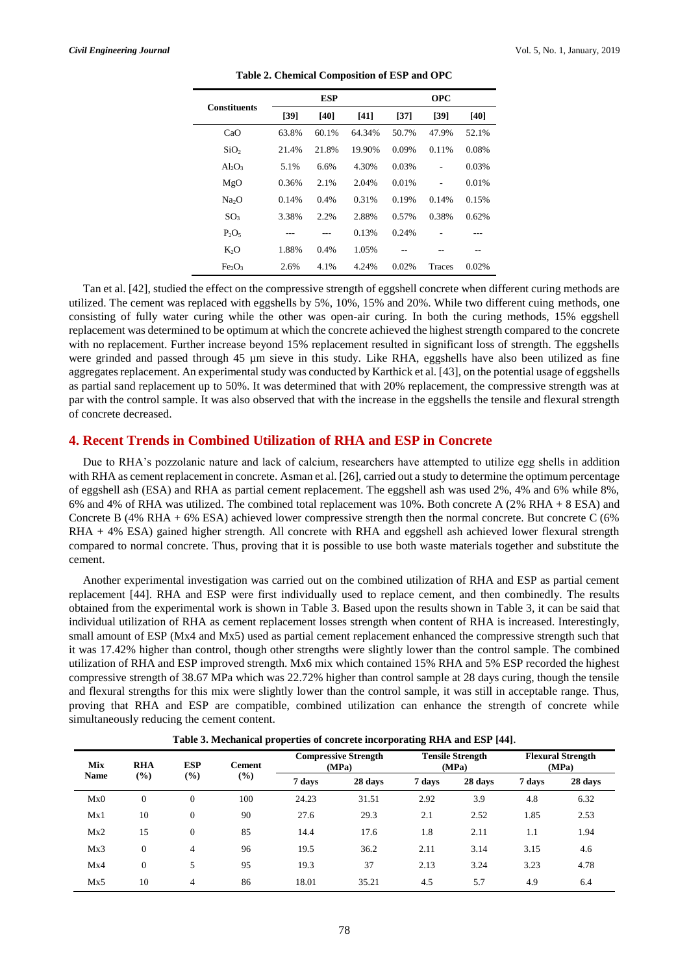| <b>Constituents</b>            |        | <b>ESP</b> |        |       | <b>OPC</b>    |       |  |  |
|--------------------------------|--------|------------|--------|-------|---------------|-------|--|--|
|                                | $[39]$ | [40]       | [41]   | [37]  | [39]          | [40]  |  |  |
| CaO                            | 63.8%  | 60.1%      | 64.34% | 50.7% | 47.9%         | 52.1% |  |  |
| SiO <sub>2</sub>               | 21.4%  | 21.8%      | 19.90% | 0.09% | 0.11%         | 0.08% |  |  |
| $Al_2O_3$                      | 5.1%   | 6.6%       | 4.30%  | 0.03% | ۰             | 0.03% |  |  |
| MgO                            | 0.36%  | 2.1%       | 2.04%  | 0.01% | Ĭ.            | 0.01% |  |  |
| Na <sub>2</sub> O              | 0.14%  | 0.4%       | 0.31%  | 0.19% | 0.14%         | 0.15% |  |  |
| SO <sub>3</sub>                | 3.38%  | 2.2%       | 2.88%  | 0.57% | 0.38%         | 0.62% |  |  |
| $P_2O_5$                       |        |            | 0.13%  | 0.24% |               |       |  |  |
| K <sub>2</sub> O               | 1.88%  | 0.4%       | 1.05%  |       |               |       |  |  |
| Fe <sub>2</sub> O <sub>3</sub> | 2.6%   | 4.1%       | 4.24%  | 0.02% | <b>Traces</b> | 0.02% |  |  |

**Table 2. Chemical Composition of ESP and OPC**

Tan et al. [42], studied the effect on the compressive strength of eggshell concrete when different curing methods are utilized. The cement was replaced with eggshells by 5%, 10%, 15% and 20%. While two different cuing methods, one consisting of fully water curing while the other was open-air curing. In both the curing methods, 15% eggshell replacement was determined to be optimum at which the concrete achieved the highest strength compared to the concrete with no replacement. Further increase beyond 15% replacement resulted in significant loss of strength. The eggshells were grinded and passed through 45 µm sieve in this study. Like RHA, eggshells have also been utilized as fine aggregates replacement. An experimental study was conducted by Karthick et al. [43], on the potential usage of eggshells as partial sand replacement up to 50%. It was determined that with 20% replacement, the compressive strength was at par with the control sample. It was also observed that with the increase in the eggshells the tensile and flexural strength of concrete decreased.

# **4. Recent Trends in Combined Utilization of RHA and ESP in Concrete**

Due to RHA's pozzolanic nature and lack of calcium, researchers have attempted to utilize egg shells in addition with RHA as cement replacement in concrete. Asman et al. [26], carried out a study to determine the optimum percentage of eggshell ash (ESA) and RHA as partial cement replacement. The eggshell ash was used 2%, 4% and 6% while 8%, 6% and 4% of RHA was utilized. The combined total replacement was 10%. Both concrete A (2% RHA + 8 ESA) and Concrete B (4% RHA + 6% ESA) achieved lower compressive strength then the normal concrete. But concrete C (6% RHA + 4% ESA) gained higher strength. All concrete with RHA and eggshell ash achieved lower flexural strength compared to normal concrete. Thus, proving that it is possible to use both waste materials together and substitute the cement.

Another experimental investigation was carried out on the combined utilization of RHA and ESP as partial cement replacement [44]. RHA and ESP were first individually used to replace cement, and then combinedly. The results obtained from the experimental work is shown in Table 3. Based upon the results shown in Table 3, it can be said that individual utilization of RHA as cement replacement losses strength when content of RHA is increased. Interestingly, small amount of ESP (Mx4 and Mx5) used as partial cement replacement enhanced the compressive strength such that it was 17.42% higher than control, though other strengths were slightly lower than the control sample. The combined utilization of RHA and ESP improved strength. Mx6 mix which contained 15% RHA and 5% ESP recorded the highest compressive strength of 38.67 MPa which was 22.72% higher than control sample at 28 days curing, though the tensile and flexural strengths for this mix were slightly lower than the control sample, it was still in acceptable range. Thus, proving that RHA and ESP are compatible, combined utilization can enhance the strength of concrete while simultaneously reducing the cement content.

| <b>Mix</b><br>Name | <b>RHA</b> | <b>ESP</b><br>$(\%)$ | <b>Cement</b><br>(%) | <b>Compressive Strength</b><br>(MPa) |         | <b>Tensile Strength</b><br>(MPa) |         | <b>Flexural Strength</b><br>(MPa) |         |
|--------------------|------------|----------------------|----------------------|--------------------------------------|---------|----------------------------------|---------|-----------------------------------|---------|
|                    | (%)        |                      |                      | 7 days                               | 28 days | 7 days                           | 28 days | 7 days                            | 28 days |
| Mx0                | $\theta$   | $\mathbf{0}$         | 100                  | 24.23                                | 31.51   | 2.92                             | 3.9     | 4.8                               | 6.32    |
| Mx1                | 10         | $\overline{0}$       | 90                   | 27.6                                 | 29.3    | 2.1                              | 2.52    | 1.85                              | 2.53    |
| Mx2                | 15         | $\mathbf{0}$         | 85                   | 14.4                                 | 17.6    | 1.8                              | 2.11    | 1.1                               | 1.94    |
| Mx3                | $\theta$   | $\overline{4}$       | 96                   | 19.5                                 | 36.2    | 2.11                             | 3.14    | 3.15                              | 4.6     |
| Mx4                | $\theta$   | 5                    | 95                   | 19.3                                 | 37      | 2.13                             | 3.24    | 3.23                              | 4.78    |
| Mx5                | 10         | $\overline{4}$       | 86                   | 18.01                                | 35.21   | 4.5                              | 5.7     | 4.9                               | 6.4     |

**Table 3. Mechanical properties of concrete incorporating RHA and ESP [44]**.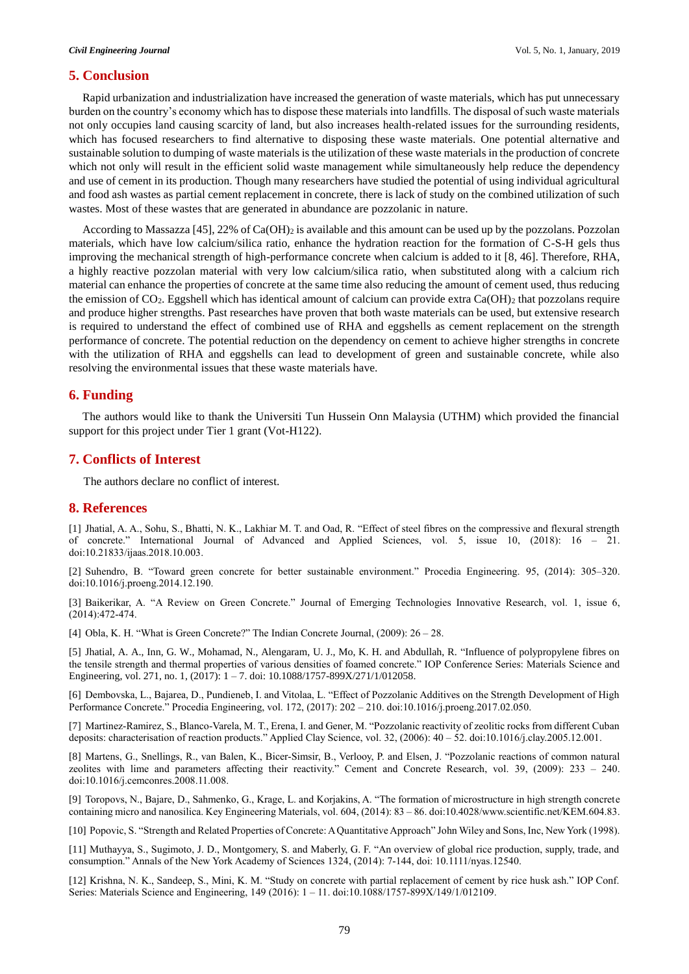# **5. Conclusion**

Rapid urbanization and industrialization have increased the generation of waste materials, which has put unnecessary burden on the country's economy which has to dispose these materials into landfills. The disposal of such waste materials not only occupies land causing scarcity of land, but also increases health-related issues for the surrounding residents, which has focused researchers to find alternative to disposing these waste materials. One potential alternative and sustainable solution to dumping of waste materials is the utilization of these waste materials in the production of concrete which not only will result in the efficient solid waste management while simultaneously help reduce the dependency and use of cement in its production. Though many researchers have studied the potential of using individual agricultural and food ash wastes as partial cement replacement in concrete, there is lack of study on the combined utilization of such wastes. Most of these wastes that are generated in abundance are pozzolanic in nature.

According to Massazza [45],  $22\%$  of Ca(OH)<sub>2</sub> is available and this amount can be used up by the pozzolans. Pozzolan materials, which have low calcium/silica ratio, enhance the hydration reaction for the formation of C-S-H gels thus improving the mechanical strength of high-performance concrete when calcium is added to it [8, 46]. Therefore, RHA, a highly reactive pozzolan material with very low calcium/silica ratio, when substituted along with a calcium rich material can enhance the properties of concrete at the same time also reducing the amount of cement used, thus reducing the emission of  $CO_2$ . Eggshell which has identical amount of calcium can provide extra  $Ca(OH)_2$  that pozzolans require and produce higher strengths. Past researches have proven that both waste materials can be used, but extensive research is required to understand the effect of combined use of RHA and eggshells as cement replacement on the strength performance of concrete. The potential reduction on the dependency on cement to achieve higher strengths in concrete with the utilization of RHA and eggshells can lead to development of green and sustainable concrete, while also resolving the environmental issues that these waste materials have.

### **6. Funding**

The authors would like to thank the Universiti Tun Hussein Onn Malaysia (UTHM) which provided the financial support for this project under Tier 1 grant (Vot-H122).

# **7. Conflicts of Interest**

The authors declare no conflict of interest.

# **8. References**

[1] Jhatial, A. A., Sohu, S., Bhatti, N. K., Lakhiar M. T. and Oad, R. "Effect of steel fibres on the compressive and flexural strength of concrete." International Journal of Advanced and Applied Sciences, vol. 5, issue 10, (2018): 16 – 21. [doi:10.21833/ijaas.2018.10.003.](https://doi.org/10.21833/ijaas.2018.10.003)

[2] Suhendro, B. "Toward green concrete for better sustainable environment." Procedia Engineering. 95, (2014): 305–320. do[i:10.1016/j.proeng.2014.12.190.](https://doi.org/10.1016/j.proeng.2014.12.190)

[3] Baikerikar, A. "A Review on Green Concrete." Journal of Emerging Technologies Innovative Research, vol. 1, issue 6, (2014):472-474.

[4] Obla, K. H. "What is Green Concrete?" The Indian Concrete Journal, (2009): 26 – 28.

[5] Jhatial, A. A., Inn, G. W., Mohamad, N., Alengaram, U. J., Mo, K. H. and Abdullah, R. "Influence of polypropylene fibres on the tensile strength and thermal properties of various densities of foamed concrete." IOP Conference Series: Materials Science and Engineering, vol. 271, no. 1, (2017): 1 – 7. doi: 10.1088/1757-899X/271/1/012058.

[6] Dembovska, L., Bajarea, D., Pundieneb, I. and Vitolaa, L. "Effect of Pozzolanic Additives on the Strength Development of High Performance Concrete." Procedia Engineering, vol. 172, (2017): 202 – 210. doi[:10.1016/j.proeng.2017.02.050.](https://doi.org/10.1016/j.proeng.2017.02.050)

[7] Martinez-Ramirez, S., Blanco-Varela, M. T., Erena, I. and Gener, M. "Pozzolanic reactivity of zeolitic rocks from different Cuban deposits: characterisation of reaction products." Applied Clay Science, vol. 32, (2006): 40 – 52. do[i:10.1016/j.clay.2005.12.001.](https://doi.org/10.1016/j.clay.2005.12.001)

[8] Martens, G., Snellings, R., van Balen, K., Bicer-Simsir, B., Verlooy, P. and Elsen, J. "Pozzolanic reactions of common natural zeolites with lime and parameters affecting their reactivity." Cement and Concrete Research, vol. 39, (2009): 233 – 240. do[i:10.1016/j.cemconres.2008.11.008.](https://doi.org/10.1016/j.cemconres.2008.11.008)

[9] Toropovs, N., Bajare, D., Sahmenko, G., Krage, L. and Korjakins, A. "The formation of microstructure in high strength concrete containing micro and nanosilica. Key Engineering Materials, vol. 604, (2014): 83 – 86. doi[:10.4028/www.scientific.net/KEM.604.83.](https://doi.org/10.4028/www.scientific.net/KEM.604.83)

[10] Popovic, S. "Strength and Related Properties of Concrete: A Quantitative Approach" John Wiley and Sons, Inc, New York (1998).

[11] Muthayya, S., Sugimoto, J. D., Montgomery, S. and Maberly, G. F. "An overview of global rice production, supply, trade, and consumption." Annals of the New York Academy of Sciences 1324, (2014): 7-144, doi: [10.1111/nyas.12540.](https://doi.org/10.1111/nyas.12540)

[12] Krishna, N. K., Sandeep, S., Mini, K. M. "Study on concrete with partial replacement of cement by rice husk ash." IOP Conf. Series: Materials Science and Engineering, 149 (2016): 1 – 11. do[i:10.1088/1757-899X/149/1/012109.](https://doi.org/10.1088/1757-899X/149/1/012109)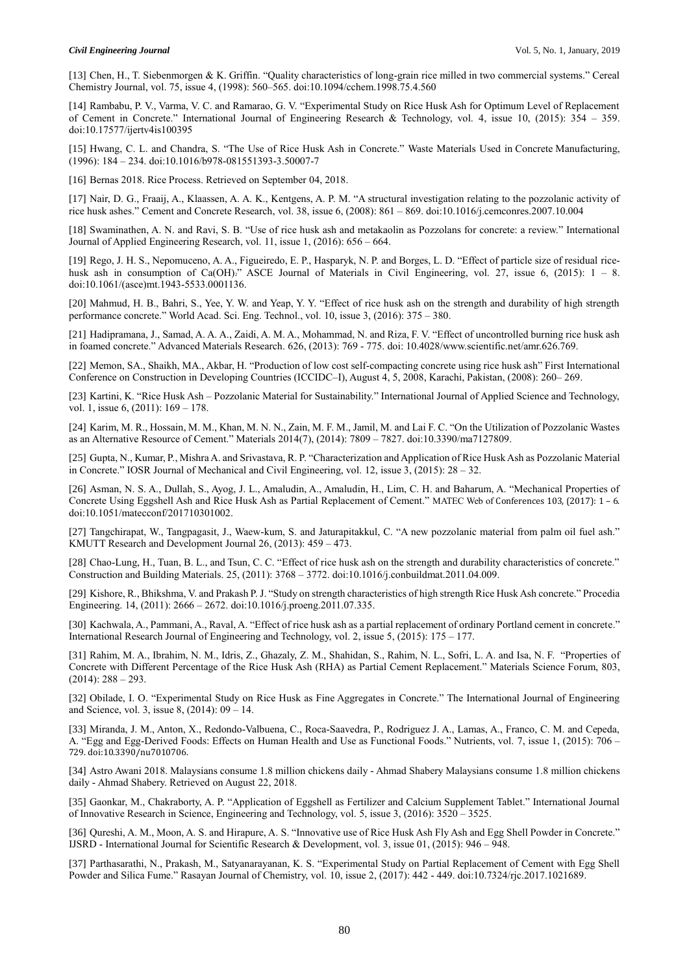#### *Civil Engineering Journal* Vol. 5, No. 1, January, 2019

[13] Chen, H., T. Siebenmorgen & K. Griffin. "Quality characteristics of long-grain rice milled in two commercial systems." Cereal Chemistry Journal, vol. 75, issue 4, (1998): 560–565. doi[:10.1094/cchem.1998.75.4.560](https://doi.org/10.1094/cchem.1998.75.4.560)

[14] Rambabu, P. V., Varma, V. C. and Ramarao, G. V. "Experimental Study on Rice Husk Ash for Optimum Level of Replacement of Cement in Concrete." International Journal of Engineering Research & Technology, vol. 4, issue 10, (2015): 354 – 359. do[i:10.17577/ijertv4is100395](https://doi.org/10.17577/ijertv4is100395)

[15] Hwang, C. L. and Chandra, S. "The Use of Rice Husk Ash in Concrete." Waste Materials Used in Concrete Manufacturing, (1996): 184 – 234. doi[:10.1016/b978-081551393-3.50007-7](https://doi.org/10.1016/b978-081551393-3.50007-7)

[16] Bernas 2018. Rice Process. Retrieved on September 04, 2018.

[17] Nair, D. G., Fraaij, A., Klaassen, A. A. K., Kentgens, A. P. M. "A structural investigation relating to the pozzolanic activity of rice husk ashes." Cement and Concrete Research, vol. 38, issue 6, (2008): 861 – 869. doi[:10.1016/j.cemconres.2007.10.004](https://doi.org/10.1016/j.cemconres.2007.10.004)

[18] Swaminathen, A. N. and Ravi, S. B. "Use of rice husk ash and metakaolin as Pozzolans for concrete: a review." International Journal of Applied Engineering Research, vol. 11, issue 1, (2016): 656 – 664.

[19] Rego, J. H. S., Nepomuceno, A. A., Figueiredo, E. P., Hasparyk, N. P. and Borges, L. D. "Effect of particle size of residual ricehusk ash in consumption of Ca(OH)<sub>2</sub>" ASCE Journal of Materials in Civil Engineering, vol. 27, issue 6, (2015): 1 – 8. do[i:10.1061/\(asce\)mt.1943-5533.0001136.](https://doi.org/10.1061/(asce)mt.1943-5533.0001136)

[20] Mahmud, H. B., Bahri, S., Yee, Y. W. and Yeap, Y. Y. "Effect of rice husk ash on the strength and durability of high strength performance concrete." World Acad. Sci. Eng. Technol., vol. 10, issue 3, (2016): 375 – 380.

[21] Hadipramana, J., Samad, A. A. A., Zaidi, A. M. A., Mohammad, N. and Riza, F. V. "Effect of uncontrolled burning rice husk ash in foamed concrete." Advanced Materials Research. 626, (2013): 769 - 775. doi: [10.4028/www.scientific.net/amr.626.769.](https://doi.org/10.4028/www.scientific.net/amr.626.769)

[22] Memon, SA., Shaikh, MA., Akbar, H. "Production of low cost self-compacting concrete using rice husk ash" First International Conference on Construction in Developing Countries (ICCIDC–I), August 4, 5, 2008, Karachi, Pakistan, (2008): 260– 269.

[23] Kartini, K. "Rice Husk Ash – Pozzolanic Material for Sustainability." International Journal of Applied Science and Technology, vol. 1, issue 6, (2011): 169 – 178.

[24] Karim, M. R., Hossain, M. M., Khan, M. N. N., Zain, M. F. M., Jamil, M. and Lai F. C. "On the Utilization of Pozzolanic Wastes as an Alternative Resource of Cement." Materials 2014(7), (2014): 7809 – 7827. do[i:10.3390/ma7127809.](https://doi.org/10.3390/ma7127809)

[25] Gupta, N., Kumar, P., Mishra A. and Srivastava, R. P. "Characterization and Application of Rice Husk Ash as Pozzolanic Material in Concrete." IOSR Journal of Mechanical and Civil Engineering, vol. 12, issue 3, (2015): 28 – 32.

[26] Asman, N. S. A., Dullah, S., Ayog, J. L., Amaludin, A., Amaludin, H., Lim, C. H. and Baharum, A. "Mechanical Properties of Concrete Using Eggshell Ash and Rice Husk Ash as Partial Replacement of Cement." MATEC Web of Conferences 103, (2017): 1 – 6. do[i:10.1051/matecconf/201710301002.](https://doi.org/10.1051/matecconf/201710301002)

[27] Tangchirapat, W., Tangpagasit, J., Waew-kum, S. and Jaturapitakkul, C. "A new pozzolanic material from palm oil fuel ash." KMUTT Research and Development Journal 26, (2013): 459 – 473.

[28] Chao-Lung, H., Tuan, B. L., and Tsun, C. C. "Effect of rice husk ash on the strength and durability characteristics of concrete." Construction and Building Materials. 25, (2011): 3768 – 3772. doi[:10.1016/j.conbuildmat.2011.04.009.](https://doi.org/10.1016/j.conbuildmat.2011.04.009)

[29] Kishore, R., Bhikshma, V. and Prakash P. J. "Study on strength characteristics of high strength Rice Husk Ash concrete." Procedia Engineering. 14, (2011): 2666 – 2672. do[i:10.1016/j.proeng.2011.07.335.](https://doi.org/10.1016/j.proeng.2011.07.335)

[30] Kachwala, A., Pammani, A., Raval, A. "Effect of rice husk ash as a partial replacement of ordinary Portland cement in concrete." International Research Journal of Engineering and Technology, vol. 2, issue 5, (2015): 175 – 177.

[31] Rahim, M. A., Ibrahim, N. M., Idris, Z., Ghazaly, Z. M., Shahidan, S., Rahim, N. L., Sofri, L. A. and Isa, N. F. "Properties of Concrete with Different Percentage of the Rice Husk Ash (RHA) as Partial Cement Replacement." Materials Science Forum, 803,  $(2014): 288 - 293.$ 

[32] Obilade, I. O. "Experimental Study on Rice Husk as Fine Aggregates in Concrete." The International Journal of Engineering and Science, vol. 3, issue 8, (2014): 09 – 14.

[33] Miranda, J. M., Anton, X., Redondo-Valbuena, C., Roca-Saavedra, P., Rodriguez J. A., Lamas, A., Franco, C. M. and Cepeda, A. "Egg and Egg-Derived Foods: Effects on Human Health and Use as Functional Foods." Nutrients, vol. 7, issue 1, (2015): 706 – 729. do[i:10.3390/nu7010706.](https://doi.org/10.3390/nu7010706)

[34] Astro Awani 2018. Malaysians consume 1.8 million chickens daily - Ahmad Shabery Malaysians consume 1.8 million chickens daily - Ahmad Shabery. Retrieved on August 22, 2018.

[35] Gaonkar, M., Chakraborty, A. P. "Application of Eggshell as Fertilizer and Calcium Supplement Tablet." International Journal of Innovative Research in Science, Engineering and Technology, vol. 5, issue 3, (2016): 3520 – 3525.

[36] Qureshi, A. M., Moon, A. S. and Hirapure, A. S. "Innovative use of Rice Husk Ash Fly Ash and Egg Shell Powder in Concrete." IJSRD - International Journal for Scientific Research & Development, vol. 3, issue 01, (2015): 946 – 948.

[37] Parthasarathi, N., Prakash, M., Satyanarayanan, K. S. "Experimental Study on Partial Replacement of Cement with Egg Shell Powder and Silica Fume." Rasayan Journal of Chemistry, vol. 10, issue 2, (2017): 442 - 449. do[i:10.7324/rjc.2017.1021689.](https://doi.org/10.7324/rjc.2017.1021689)